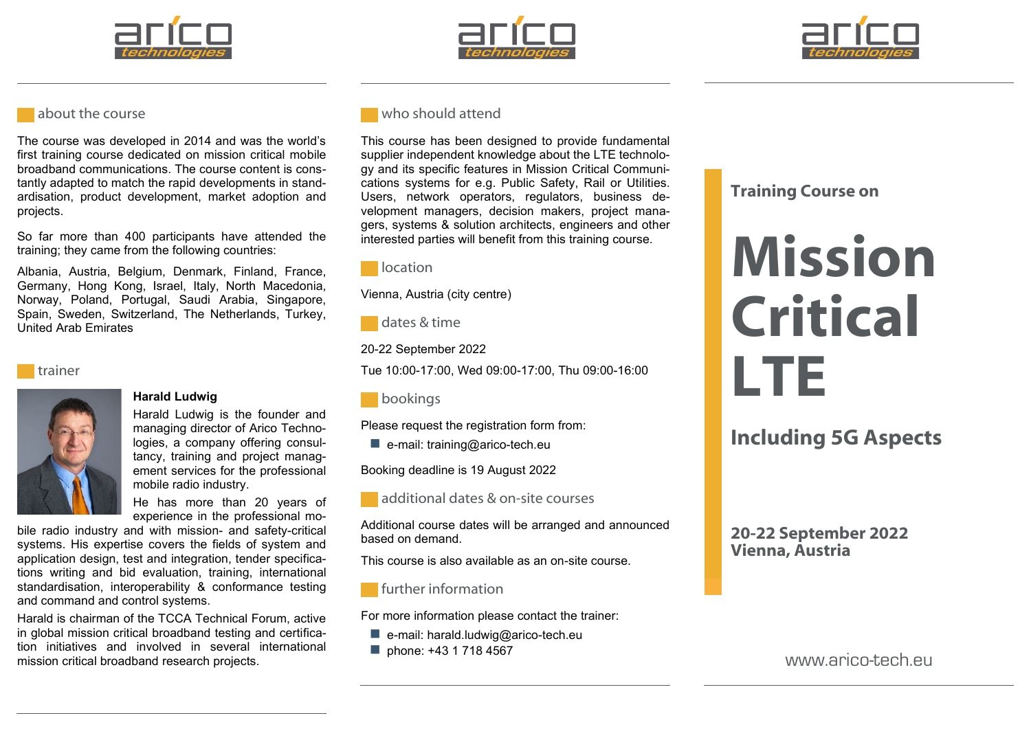





#### **about the course**

The course was developed in 2014 and was the world's first training course dedicated on mission critical mobile broadband communications. The course content is constantly adapted to match the rapid developments in standardisation, product development, market adoption and projects.

So far more than 400 participants have attended the training; they came from the following countries:

Albania, Austria, Belgium, Denmark, Finland, France, Germany, Hong Kong, Israel, Italy, North Macedonia, Norway, Poland, Portugal, Saudi Arabia, Singapore, Spain, Sweden, Switzerland, The Netherlands, Turkey, United Arab Emirates





#### **Harald Ludwig**

Harald Ludwig is the founder and managing director of Arico Technologies, a company offering consultancy, training and project management services for the professional mobile radio industry.

He has more than 20 years of experience in the professional mo-

bile radio industry and with mission- and safety-critical systems. His expertise covers the fields of system and application design, test and integration, tender specifications writing and bid evaluation, training, international standardisation, interoperability & conformance testing and command and control systems.

Harald is chairman of the TCCA Technical Forum, active in global mission critical broadband testing and certification initiatives and involved in several international mission critical broadband research projects.

### who should attend

This course has been designed to provide fundamental supplier independent knowledge about the LTE technology and its specific features in Mission Critical Communications systems for e.g. Public Safety, Rail or Utilities. Users, network operators, regulators, business development managers, decision makers, project managers, systems & solution architects, engineers and other interested parties will benefit from this training course.



Vienna, Austria (city centre)



20-22 September 2022

Tue 10:00-17:00, Wed 09:00-17:00, Thu 09:00-16:00

**bookings** 

Please request the registration form from:

 $\blacksquare$  e-mail: training@arico-tech.eu

Booking deadline is 19 August 2022



additional dates & on-site courses

Additional course dates will be arranged and announced based on demand.

This course is also available as an on-site course.

#### **further information**

For more information please contact the trainer:

- $\blacksquare$  e-mail: harald.ludwig@arico-tech.eu
- phone: +43 1 718 4567

# **Training Course on**

# **Mission Critical LTE**

**Including 5G Aspects**

**20-22 September 2022 Vienna, Austria**